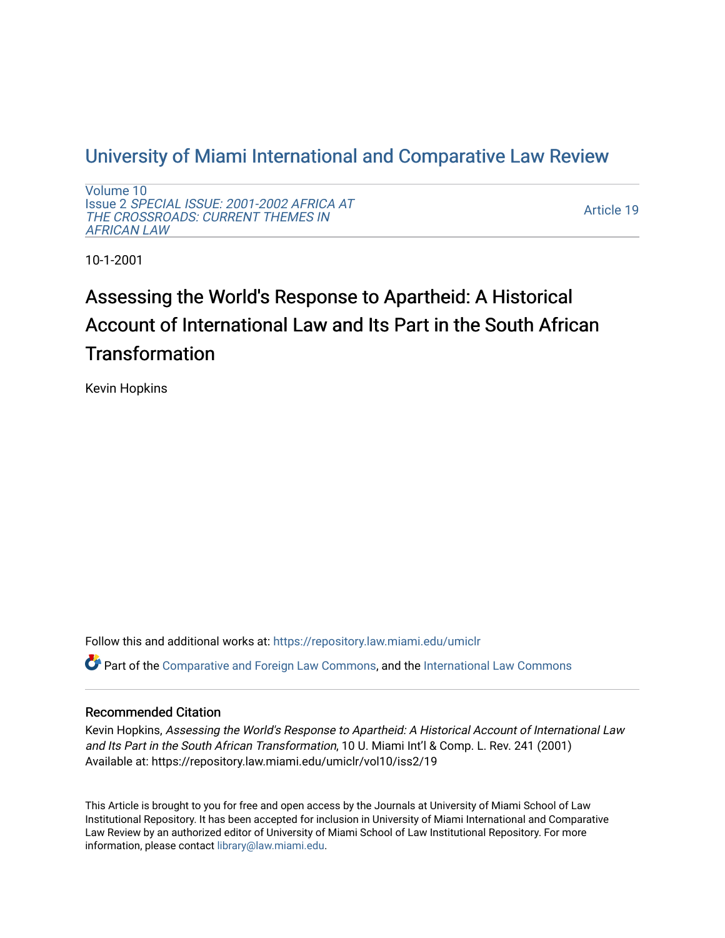# [University of Miami International and Comparative Law Review](https://repository.law.miami.edu/umiclr)

[Volume 10](https://repository.law.miami.edu/umiclr/vol10) Issue 2 [SPECIAL ISSUE: 2001-2002 AFRICA AT](https://repository.law.miami.edu/umiclr/vol10/iss2)  [THE CROSSROADS: CURRENT THEMES IN](https://repository.law.miami.edu/umiclr/vol10/iss2) [AFRICAN LAW](https://repository.law.miami.edu/umiclr/vol10/iss2) 

[Article 19](https://repository.law.miami.edu/umiclr/vol10/iss2/19) 

10-1-2001

# Assessing the World's Response to Apartheid: A Historical Account of International Law and Its Part in the South African **Transformation**

Kevin Hopkins

Follow this and additional works at: [https://repository.law.miami.edu/umiclr](https://repository.law.miami.edu/umiclr?utm_source=repository.law.miami.edu%2Fumiclr%2Fvol10%2Fiss2%2F19&utm_medium=PDF&utm_campaign=PDFCoverPages)

 $\bullet$  Part of the [Comparative and Foreign Law Commons,](http://network.bepress.com/hgg/discipline/836?utm_source=repository.law.miami.edu%2Fumiclr%2Fvol10%2Fiss2%2F19&utm_medium=PDF&utm_campaign=PDFCoverPages) and the [International Law Commons](http://network.bepress.com/hgg/discipline/609?utm_source=repository.law.miami.edu%2Fumiclr%2Fvol10%2Fiss2%2F19&utm_medium=PDF&utm_campaign=PDFCoverPages)

# Recommended Citation

Kevin Hopkins, Assessing the World's Response to Apartheid: A Historical Account of International Law and Its Part in the South African Transformation, 10 U. Miami Int'l & Comp. L. Rev. 241 (2001) Available at: https://repository.law.miami.edu/umiclr/vol10/iss2/19

This Article is brought to you for free and open access by the Journals at University of Miami School of Law Institutional Repository. It has been accepted for inclusion in University of Miami International and Comparative Law Review by an authorized editor of University of Miami School of Law Institutional Repository. For more information, please contact [library@law.miami.edu](mailto:library@law.miami.edu).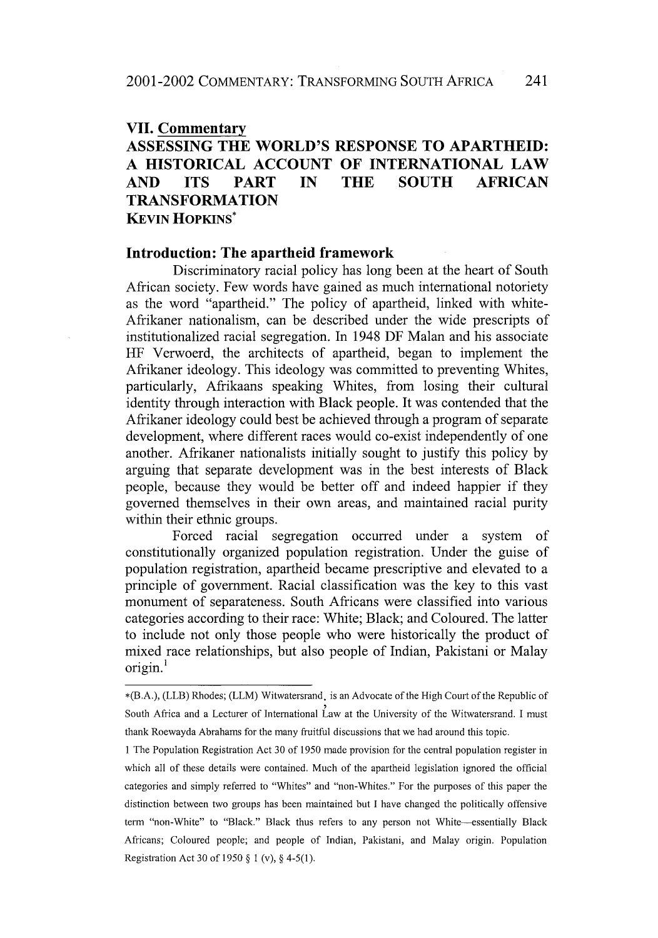#### **VII. Commentary**

# **ASSESSING THE WORLD'S RESPONSE TO APARTHEID: A HISTORICAL ACCOUNT OF INTERNATIONAL LAW AND ITS PART IN THE SOUTH AFRICAN TRANSFORMATION KEVIN HOPKINS\***

# **Introduction: The apartheid framework**

Discriminatory racial policy has long been at the heart of South African society. Few words have gained as much international notoriety as the word "apartheid." The policy of apartheid, linked with white-Afrikaner nationalism, can be described under the wide prescripts of institutionalized racial segregation. In 1948 DF Malan and his associate HF Verwoerd, the architects of apartheid, began to implement the Afrikaner ideology. This ideology was committed to preventing Whites, particularly, Afrikaans speaking Whites, from losing their cultural identity through interaction with Black people. It was contended that the Afrikaner ideology could best be achieved through a program of separate development, where different races would co-exist independently of one another. Afrikaner nationalists initially sought to justify this policy **by** arguing that separate development was in the best interests of Black people, because they would be better off and indeed happier **if** they governed themselves in their own areas, and maintained racial purity within their ethnic groups.

Forced racial segregation occurred under a system of constitutionally organized population registration. Under the guise of population registration, apartheid became prescriptive and elevated to a principle of government. Racial classification was the key to this vast monument of separateness. South Africans were classified into various categories according to their race: White; Black; and Coloured. The latter to include not only those people who were historically the product of mixed race relationships, but also people of Indian, Pakistani or Malay  $origin<sup>1</sup>$ 

<sup>\*(</sup>B.A.), (LLB) Rhodes; (LLM) Witwatersrand. is an Advocate of the High Court of the Republic of South Africa and a Lecturer of International Law at the University of the Witwatersrand. I must thank Roewayda Abrahams for the many fruitful discussions that we had around this topic.

<sup>1</sup> The Population Registration Act 30 of 1950 made provision for the central population register in which all of these details were contained. Much of the apartheid legislation ignored the official categories and simply referred to "Whites" and "non-Whites." For the purposes of this paper the distinction between two groups has been maintained but I have changed the politically offensive term "non-White" to "Black." Black thus refers to any person not White--essentially Black Africans; Coloured people; and people of Indian, Pakistani, and Malay origin. Population Registration Act 30 of 1950 § 1 (v), § 4-5(1).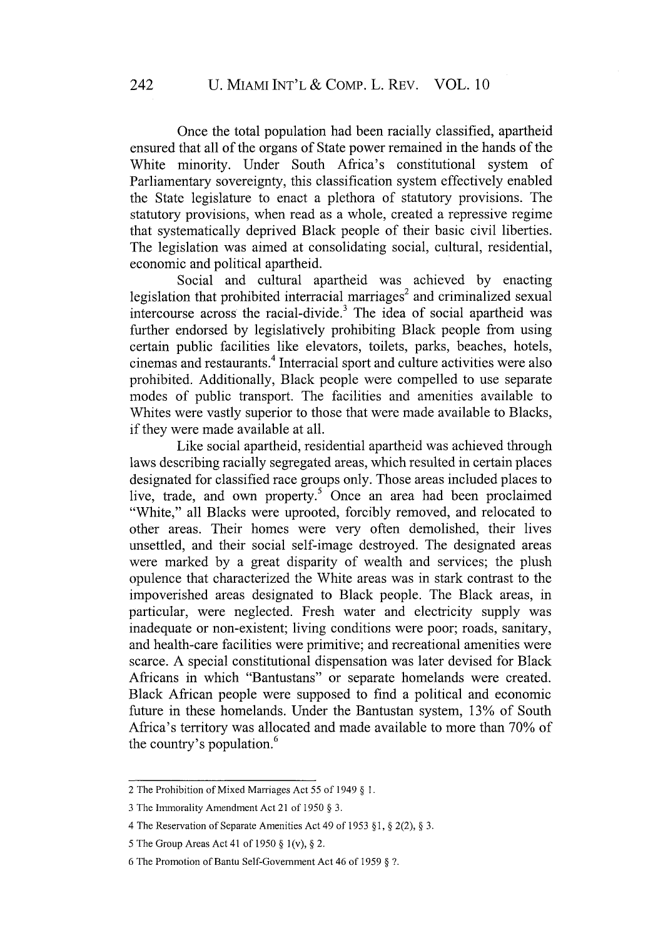Once the total population had been racially classified, apartheid ensured that all of the organs of State power remained in the hands of the White minority. Under South Africa's constitutional system of Parliamentary sovereignty, this classification system effectively enabled the State legislature to enact a plethora of statutory provisions. The statutory provisions, when read as a whole, created a repressive regime that systematically deprived Black people of their basic civil liberties. The legislation was aimed at consolidating social, cultural, residential, economic and political apartheid.

Social and cultural apartheid was achieved by enacting legislation that prohibited interracial marriages<sup>2</sup> and criminalized sexual intercourse across the racial-divide.<sup>3</sup> The idea of social apartheid was further endorsed by legislatively prohibiting Black people from using certain public facilities like elevators, toilets, parks, beaches, hotels, cinemas and restaurants.4 Interracial sport and culture activities were also prohibited. Additionally, Black people were compelled to use separate modes of public transport. The facilities and amenities available to Whites were vastly superior to those that were made available to Blacks, if they were made available at all.

Like social apartheid, residential apartheid was achieved through laws describing racially segregated areas, which resulted in certain places designated for classified race groups only. Those areas included places to live, trade, and own property.<sup>5</sup> Once an area had been proclaimed "White," all Blacks were uprooted, forcibly removed, and relocated to other areas. Their homes were very often demolished, their lives unsettled, and their social self-image destroyed. The designated areas were marked by a great disparity of wealth and services; the plush opulence that characterized the White areas was in stark contrast to the impoverished areas designated to Black people. The Black areas, in particular, were neglected. Fresh water and electricity supply was inadequate or non-existent; living conditions were poor; roads, sanitary, and health-care facilities were primitive; and recreational amenities were scarce. A special constitutional dispensation was later devised for Black Africans in which "Bantustans" or separate homelands were created. Black African people were supposed to find a political and economic future in these homelands. Under the Bantustan system, 13% of South Africa's territory was allocated and made available to more than 70% of the country's population.<sup>6</sup>

<sup>2</sup> The Prohibition of Mixed Marriages Act 55 of 1949 § 1.

<sup>3</sup> The Immorality Amendment Act 21 of 1950 § 3.

<sup>4</sup> The Reservation of Separate Amenities Act 49 of 1953 § **1,** § 2(2), § 3.

<sup>5</sup> The Group Areas Act 41 of 1950 § 1(v), § 2.

<sup>6</sup> The Promotion of Bantu Self-Government Act 46 of 1959 § 7.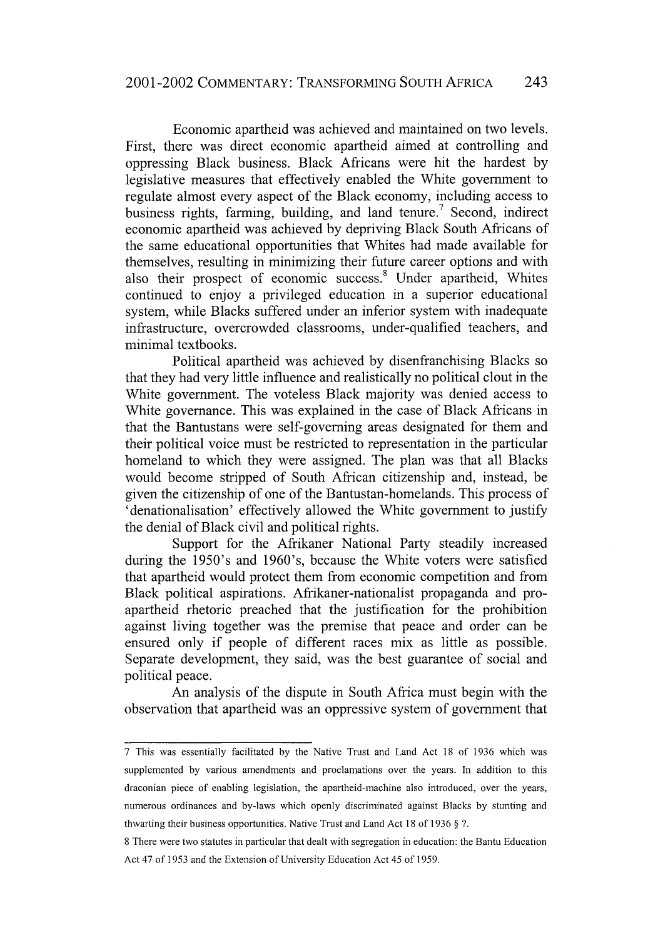Economic apartheid was achieved and maintained on two levels. First, there was direct economic apartheid aimed at controlling and oppressing Black business. Black Africans were hit the hardest by legislative measures that effectively enabled the White government to regulate almost every aspect of the Black economy, including access to business rights, farming, building, and land tenure.' Second, indirect economic apartheid was achieved by depriving Black South Africans of the same educational opportunities that Whites had made available for themselves, resulting in minimizing their future career options and with also their prospect of economic success.<sup>8</sup> Under apartheid, Whites continued to enjoy a privileged education in a superior educational system, while Blacks suffered under an inferior system with inadequate infrastructure, overcrowded classrooms, under-qualified teachers, and minimal textbooks.

Political apartheid was achieved by disenfranchising Blacks so that they had very little influence and realistically no political clout in the White government. The voteless Black majority was denied access to White governance. This was explained in the case of Black Africans in that the Bantustans were self-governing areas designated for them and their political voice must be restricted to representation in the particular homeland to which they were assigned. The plan was that all Blacks would become stripped of South African citizenship and, instead, be given the citizenship of one of the Bantustan-homelands. This process of 'denationalisation' effectively allowed the White government to justify the denial of Black civil and political rights.

Support for the Afrikaner National Party steadily increased during the 1950's and 1960's, because the White voters were satisfied that apartheid would protect them from economic competition and from Black political aspirations. Afrikaner-nationalist propaganda and proapartheid rhetoric preached that the justification for the prohibition against living together was the premise that peace and order can be ensured only if people of different races mix as little as possible. Separate development, they said, was the best guarantee of social and political peace.

An analysis of the dispute in South Africa must begin with the observation that apartheid was an oppressive system of government that

<sup>7</sup> This was essentially facilitated by the Native Trust and Land Act 18 of 1936 which was supplemented by various amendments and proclamations over the years. In addition to this draconian piece of enabling legislation, the apartheid-machine also introduced, over the years, numerous ordinances and by-laws which openly discriminated against Blacks by stunting and thwarting their business opportunities. Native Trust and Land Act 18 of 1936 § **?.**

<sup>8</sup> There were two statutes in particular that dealt with segregation in education: the Bantu Education Act 47 of 1953 and the Extension of University Education Act 45 of 1959.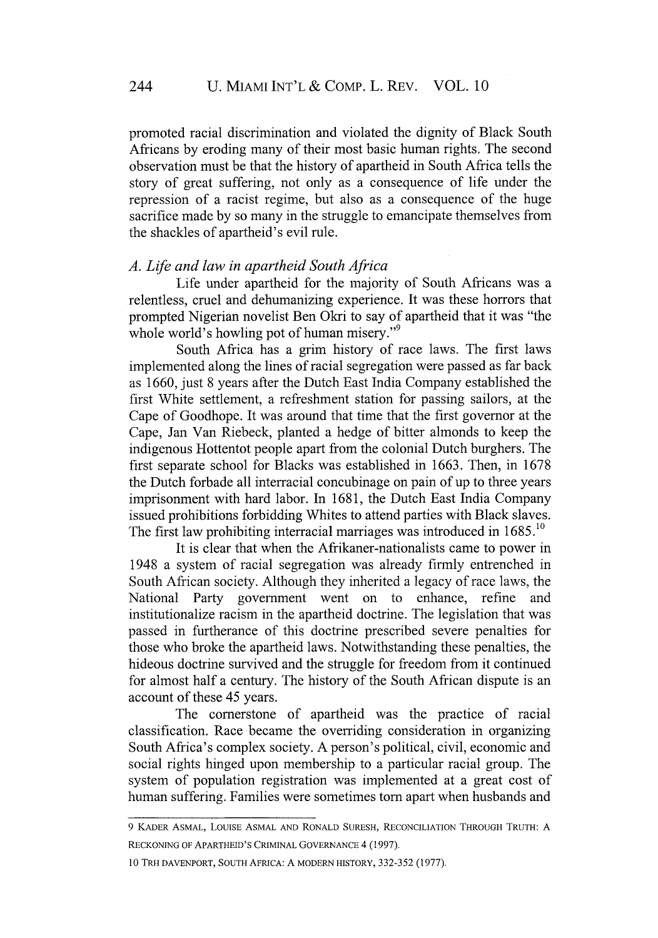promoted racial discrimination and violated the dignity of Black South Africans by eroding many of their most basic human rights. The second observation must be that the history of apartheid in South Africa tells the story of great suffering, not only as a consequence of life under the repression of a racist regime, but also as a consequence of the huge sacrifice made by so many in the struggle to emancipate themselves from the shackles of apartheid's evil rule.

### *A.* Life *and law in apartheid South Africa*

Life under apartheid for the majority of South Africans was a relentless, cruel and dehumanizing experience. It was these horrors that prompted Nigerian novelist Ben Okri to say of apartheid that it was "the whole world's howling pot of human misery."<sup>9</sup>

South Africa has a grim history of race laws. The first laws implemented along the lines of racial segregation were passed as far back as 1660, just 8 years after the Dutch East India Company established the first White settlement, a refreshment station for passing sailors, at the Cape of Goodhope. It was around that time that the first governor at the Cape, Jan Van Riebeck, planted a hedge of bitter almonds to keep the indigenous Hottentot people apart from the colonial Dutch burghers. The first separate school for Blacks was established in 1663. Then, in 1678 the Dutch forbade all interracial concubinage on pain of up to three years imprisonment with hard labor. In 1681, the Dutch East India Company issued prohibitions forbidding Whites to attend parties with Black slaves. The first law prohibiting interracial marriages was introduced in 1685.<sup>10</sup>

It is clear that when the Afrikaner-nationalists came to power in 1948 a system of racial segregation was already firmly entrenched in South African society. Although they inherited a legacy of race laws, the National Party government went on to enhance, refine and institutionalize racism in the apartheid doctrine. The legislation that was passed in furtherance of this doctrine prescribed severe penalties for those who broke the apartheid laws. Notwithstanding these penalties, the hideous doctrine survived and the struggle for freedom from it continued for almost half a century. The history of the South African dispute is an account of these 45 years.

The cornerstone of apartheid was the practice of racial classification. Race became the overriding consideration in organizing South Africa's complex society. A person's political, civil, economic and social rights hinged upon membership to a particular racial group. The system of population registration was implemented at a great cost of human suffering. Families were sometimes torn apart when husbands and

<sup>9</sup> KADER ASMAL, LOUISE ASMAL AND RONALD SURESH, RECONCILIATION THROUGH TRUTH: A RECKONING OF APARTHEID'S CRIMINAL GOVERNANCE 4 (1997).

<sup>10</sup> TRH DAVENPORT, SOUTH AFRICA: A MODERN HISTORY, 332-352 (1977).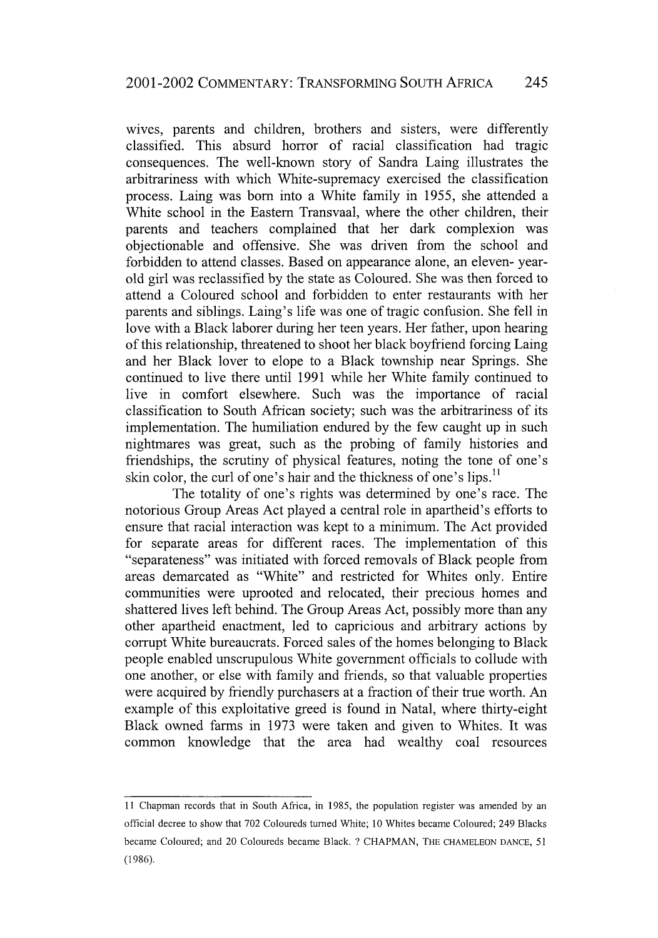wives, parents and children, brothers and sisters, were differently classified. This absurd horror of racial classification had tragic consequences. The well-known story of Sandra Laing illustrates the arbitrariness with which White-supremacy exercised the classification process. Laing was born into a White family in 1955, she attended a White school in the Eastern Transvaal, where the other children, their parents and teachers complained that her dark complexion was objectionable and offensive. She was driven from the school and forbidden to attend classes. Based on appearance alone, an eleven- yearold girl was reclassified by the state as Coloured. She was then forced to attend a Coloured school and forbidden to enter restaurants with her parents and siblings. Laing's life was one of tragic confusion. She fell in love with a Black laborer during her teen years. Her father, upon hearing of this relationship, threatened to shoot her black boyfriend forcing Laing and her Black lover to elope to a Black township near Springs. She continued to live there until 1991 while her White family continued to live in comfort elsewhere. Such was the importance of racial classification to South African society; such was the arbitrariness of its implementation. The humiliation endured by the few caught up in such nightmares was great, such as the probing of family histories and friendships, the scrutiny of physical features, noting the tone of one's skin color, the curl of one's hair and the thickness of one's lips.<sup>11</sup>

The totality of one's rights was determined by one's race. The notorious Group Areas Act played a central role in apartheid's efforts to ensure that racial interaction was kept to a minimum. The Act provided for separate areas for different races. The implementation of this "separateness" was initiated with forced removals of Black people from areas demarcated as "White" and restricted for Whites only. Entire communities were uprooted and relocated, their precious homes and shattered lives left behind. The Group Areas Act, possibly more than any other apartheid enactment, led to capricious and arbitrary actions by corrupt White bureaucrats. Forced sales of the homes belonging to Black people enabled unscrupulous White government officials to collude with one another, or else with family and friends, so that valuable properties were acquired by friendly purchasers at a fraction of their true worth. An example of this exploitative greed is found in Natal, where thirty-eight Black owned farms in 1973 were taken and given to Whites. It was common knowledge that the area had wealthy coal resources

<sup>11</sup> Chapman records that in South Africa, in 1985, the population register was amended by an official decree to show that 702 Coloureds turned White; 10 Whites became Coloured; 249 Blacks became Coloured; and 20 Coloureds became Black. **?** CHAPMAN, THE **CHAMELEON DANCE,** 51 (1986).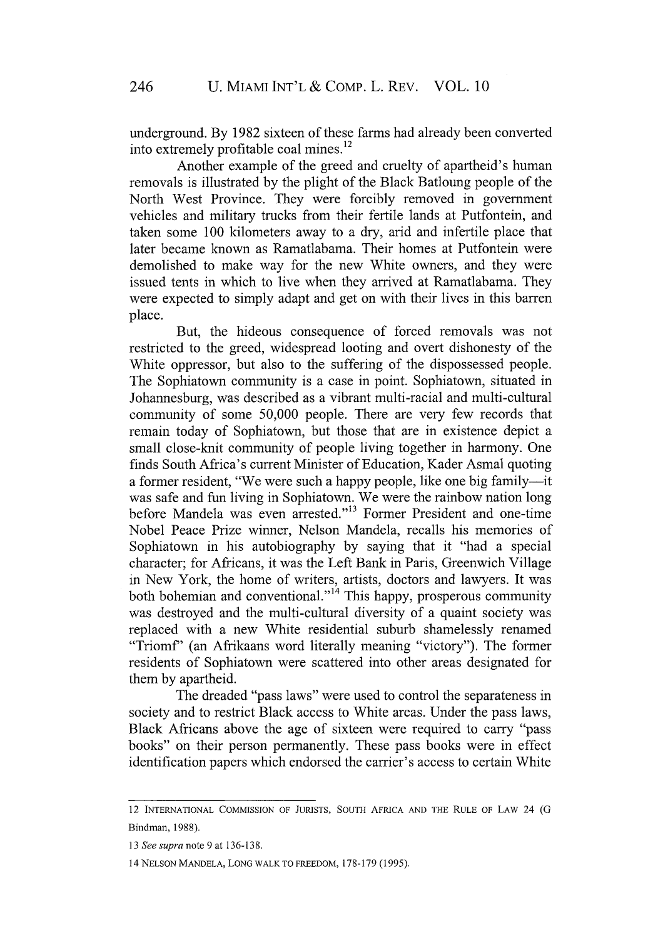underground. By 1982 sixteen of these farms had already been converted into extremely profitable coal mines. <sup>12</sup>

Another example of the greed and cruelty of apartheid's human removals is illustrated by the plight of the Black Batloung people of the North West Province. They were forcibly removed in government vehicles and military trucks from their fertile lands at Putfontein, and taken some 100 kilometers away to a dry, arid and infertile place that later became known as Ramatlabama. Their homes at Putfontein were demolished to make way for the new White owners, and they were issued tents in which to live when they arrived at Ramatlabama. They were expected to simply adapt and get on with their lives in this barren place.

But, the hideous consequence of forced removals was not restricted to the greed, widespread looting and overt dishonesty of the White oppressor, but also to the suffering of the dispossessed people. The Sophiatown community is a case in point. Sophiatown, situated in Johannesburg, was described as a vibrant multi-racial and multi-cultural community of some 50,000 people. There are very few records that remain today of Sophiatown, but those that are in existence depict a small close-knit community of people living together in harmony. One finds South Africa's current Minister of Education, Kader Asmal quoting a former resident, "We were such a happy people, like one big family—it was safe and fun living in Sophiatown. We were the rainbow nation long before Mandela was even arrested."13 Former President and one-time Nobel Peace Prize winner, Nelson Mandela, recalls his memories of Sophiatown in his autobiography by saying that it "had a special character; for Africans, it was the Left Bank in Paris, Greenwich Village in New York, the home of writers, artists, doctors and lawyers. It was both bohemian and conventional."<sup>14</sup> This happy, prosperous community was destroyed and the multi-cultural diversity of a quaint society was replaced with a new White residential suburb shamelessly renamed "Triomf' (an Afrikaans word literally meaning "victory"). The former residents of Sophiatown were scattered into other areas designated for them by apartheid.

The dreaded "pass laws" were used to control the separateness in society and to restrict Black access to White areas. Under the pass laws, Black Africans above the age of sixteen were required to carry "pass books" on their person permanently. These pass books were in effect identification papers which endorsed the carrier's access to certain White

<sup>12</sup> INTERNATIONAL COMMISSION OF JURISTS, SOUTH AFRICA AND THE RULE OF LAW 24 **(G** Bindman, 1988).

*<sup>13</sup> See supra* note 9 at 136-138.

<sup>14</sup> NELSON MANDELA, LONG WALK TO FREEDOM, 178-179 (1995).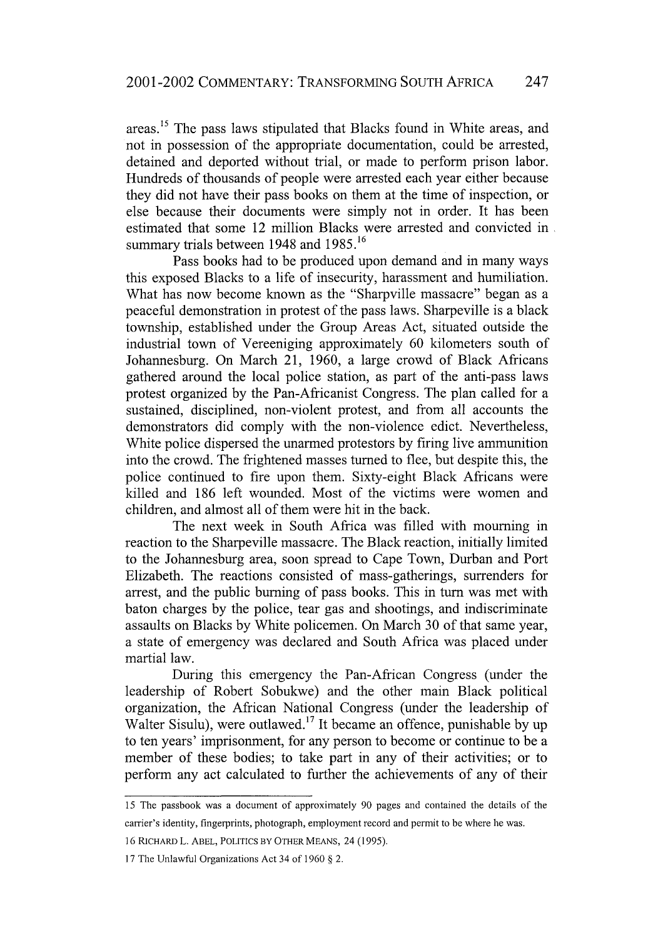areas."i The pass laws stipulated that Blacks found in White areas, and not in possession of the appropriate documentation, could be arrested, detained and deported without trial, or made to perform prison labor. Hundreds of thousands of people were arrested each year either because they did not have their pass books on them at the time of inspection, or else because their documents were simply not in order. It has been estimated that some 12 million Blacks were arrested and convicted in summary trials between 1948 and 1985.<sup>16</sup>

Pass books had to be produced upon demand and in many ways this exposed Blacks to a life of insecurity, harassment and humiliation. What has now become known as the "Sharpville massacre" began as a peaceful demonstration in protest of the pass laws. Sharpeville is a black township, established under the Group Areas Act, situated outside the industrial town of Vereeniging approximately 60 kilometers south of Johannesburg. On March 21, 1960, a large crowd of Black Africans gathered around the local police station, as part of the anti-pass laws protest organized by the Pan-Africanist Congress. The plan called for a sustained, disciplined, non-violent protest, and from all accounts the demonstrators did comply with the non-violence edict. Nevertheless, White police dispersed the unarmed protestors by firing live ammunition into the crowd. The frightened masses turned to flee, but despite this, the police continued to fire upon them. Sixty-eight Black Africans were killed and 186 left wounded. Most of the victims were women and children, and almost all of them were hit in the back.

The next week in South Africa was filled with mourning in reaction to the Sharpeville massacre. The Black reaction, initially limited to the Johannesburg area, soon spread to Cape Town, Durban and Port Elizabeth. The reactions consisted of mass-gatherings, surrenders for arrest, and the public burning of pass books. This in turn was met with baton charges by the police, tear gas and shootings, and indiscriminate assaults on Blacks by White policemen. On March 30 of that same year, a state of emergency was declared and South Africa was placed under martial law.

During this emergency the Pan-African Congress (under the leadership of Robert Sobukwe) and the other main Black political organization, the African National Congress (under the leadership of Walter Sisulu), were outlawed.<sup>17</sup> It became an offence, punishable by up to ten years' imprisonment, for any person to become or continue to be a member of these bodies; to take part in any of their activities; or to perform any act calculated to further the achievements of any of their

<sup>15</sup> The passbook was a document of approximately 90 pages and contained the details of the carrier's identity, fingerprints, photograph, employment record and permit to be where he was.

<sup>16</sup> RICHARD L. ABEL, POLITICS BY OTHER MEANS, 24 (1995).

<sup>17</sup> The Unlawful Organizations Act 34 of 1960 § 2.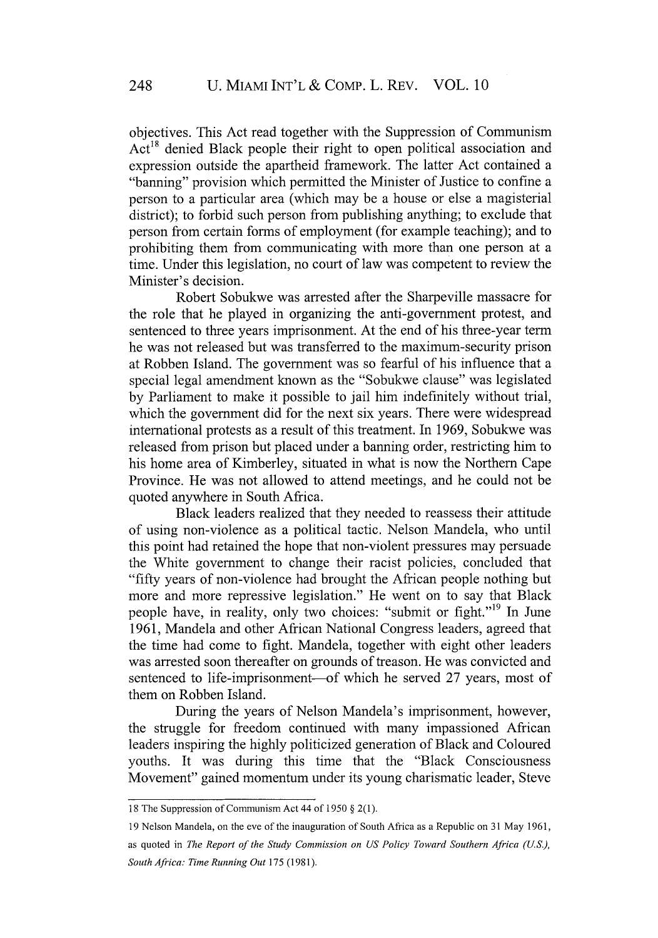objectives. This Act read together with the Suppression of Communism  $Act^{18}$  denied Black people their right to open political association and expression outside the apartheid framework. The latter Act contained a "banning" provision which permitted the Minister of Justice to confine a person to a particular area (which may be a house or else a magisterial district); to forbid such person from publishing anything; to exclude that person from certain forms of employment (for example teaching); and to prohibiting them from communicating with more than one person at a time. Under this legislation, no court of law was competent to review the Minister's decision.

Robert Sobukwe was arrested after the Sharpeville massacre for the role that he played in organizing the anti-government protest, and sentenced to three years imprisonment. At the end of his three-year term he was not released but was transferred to the maximum-security prison at Robben Island. The government was so fearful of his influence that a special legal amendment known as the "Sobukwe clause" was legislated by Parliament to make it possible to jail him indefinitely without trial, which the government did for the next six years. There were widespread international protests as a result of this treatment. In 1969, Sobukwe was released from prison but placed under a banning order, restricting him to his home area of Kimberley, situated in what is now the Northern Cape Province. He was not allowed to attend meetings, and he could not be quoted anywhere in South Africa.

Black leaders realized that they needed to reassess their attitude of using non-violence as a political tactic. Nelson Mandela, who until this point had retained the hope that non-violent pressures may persuade the White government to change their racist policies, concluded that "fifty years of non-violence had brought the African people nothing but more and more repressive legislation." He went on to say that Black people have, in reality, only two choices: "submit or fight."<sup>19</sup> In June 1961, Mandela and other African National Congress leaders, agreed that the time had come to fight. Mandela, together with eight other leaders was arrested soon thereafter on grounds of treason. He was convicted and sentenced to life-imprisonment—of which he served 27 years, most of them on Robben Island.

During the years of Nelson Mandela's imprisonment, however, the struggle for freedom continued with many impassioned African leaders inspiring the highly politicized generation of Black and Coloured youths. It was during this time that the "Black Consciousness Movement" gained momentum under its young charismatic leader, Steve

<sup>18</sup> The Suppression of Communism Act 44 of 1950 § 2(1).

<sup>19</sup> Nelson Mandela, on the eve of the inauguration of South Africa as a Republic on 31 May 1961, as quoted in *The Report of the Study Commission on US Policy Toward Southern Africa (U.S.), South Africa: Time Running Out* 175 (1981).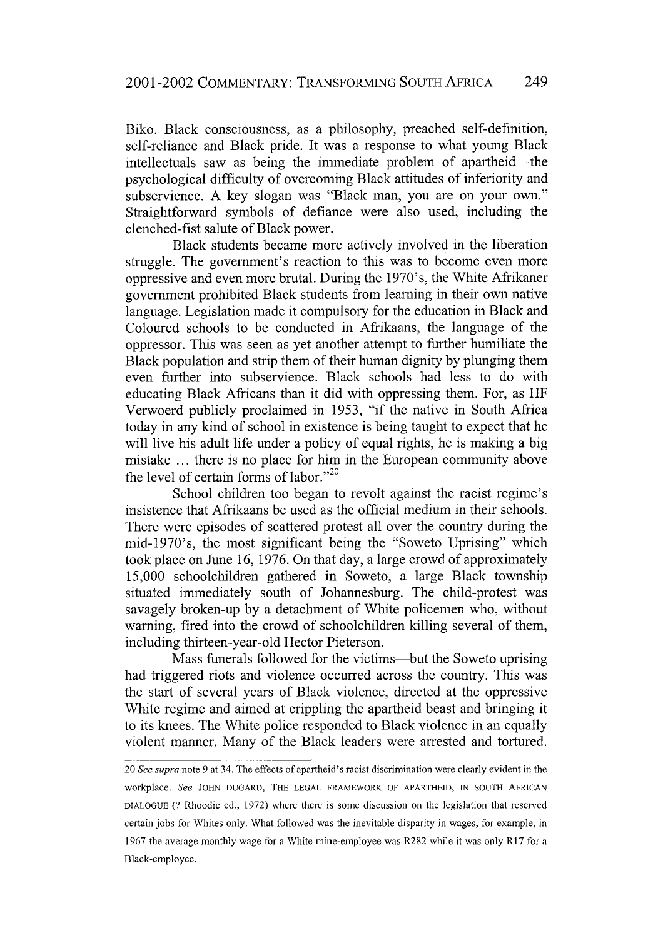Biko. Black consciousness, as a philosophy, preached self-definition, self-reliance and Black pride. It was a response to what young Black intellectuals saw as being the immediate problem of apartheid—the psychological difficulty of overcoming Black attitudes of inferiority and subservience. A key slogan was "Black man, you are on your own." Straightforward symbols of defiance were also used, including the clenched-fist salute of Black power.

Black students became more actively involved in the liberation struggle. The government's reaction to this was to become even more oppressive and even more brutal. During the 1970's, the White Afrikaner government prohibited Black students from learning in their own native language. Legislation made it compulsory for the education in Black and Coloured schools to be conducted in Afrikaans, the language of the oppressor. This was seen as yet another attempt to further humiliate the Black population and strip them of their human dignity by plunging them even further into subservience. Black schools had less to do with educating Black Africans than it did with oppressing them. For, as HF Verwoerd publicly proclaimed in 1953, "if the native in South Africa today in any kind of school in existence is being taught to expect that he will live his adult life under a policy of equal rights, he is making a big mistake ... there is no place for him in the European community above the level of certain forms of labor."<sup>20</sup>

School children too began to revolt against the racist regime's insistence that Afrikaans be used as the official medium in their schools. There were episodes of scattered protest all over the country during the mid-1970's, the most significant being the "Soweto Uprising" which took place on June 16, 1976. On that day, a large crowd of approximately 15,000 schoolchildren gathered in Soweto, a large Black township situated immediately south of Johannesburg. The child-protest was savagely broken-up by a detachment of White policemen who, without warning, fired into the crowd of schoolchildren killing several of them, including thirteen-year-old Hector Pieterson.

Mass funerals followed for the victims—but the Soweto uprising had triggered riots and violence occurred across the country. This was the start of several years of Black violence, directed at the oppressive White regime and aimed at crippling the apartheid beast and bringing it to its knees. The White police responded to Black violence in an equally violent manner. Many of the Black leaders were arrested and tortured.

<sup>20</sup> *See supra* note 9 at 34. The effects of apartheid's racist discrimination were clearly evident in the workplace. *See* **JOHN DUGARD,** THE **LEGAL** FRAMEWORK OF APARTHEID, IN **SOUTH** AFRICAN DIALOGUE **(?** Rhoodie ed., 1972) where there is some discussion on the legislation that reserved certain jobs for Whites only. What followed was the inevitable disparity in wages, for example, in 1967 the average monthly wage for a White mine-employee was R282 while it was only R17 for a Black-employee.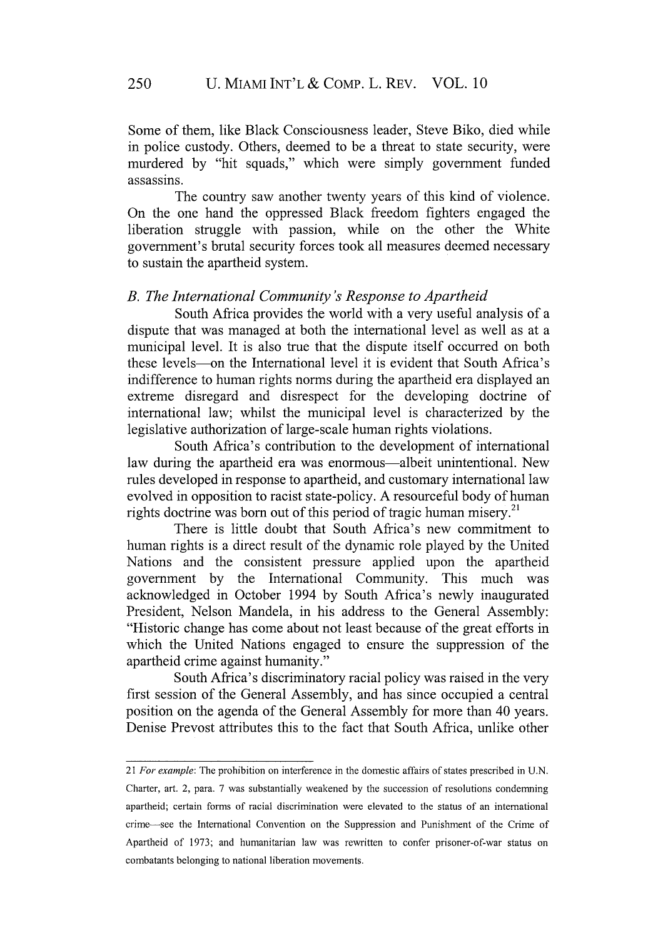Some of them, like Black Consciousness leader, Steve Biko, died while in police custody. Others, deemed to be a threat to state security, were murdered by "hit squads," which were simply government funded assassins.

The country saw another twenty years of this kind of violence. On the one hand the oppressed Black freedom fighters engaged the liberation struggle with passion, while on the other the White government's brutal security forces took all measures deemed necessary to sustain the apartheid system.

### *B. The International Community's Response to Apartheid*

South Africa provides the world with a very useful analysis of a dispute that was managed at both the international level as well as at a municipal level. It is also true that the dispute itself occurred on both these levels-on the International level it is evident that South Africa's indifference to human rights norms during the apartheid era displayed an extreme disregard and disrespect for the developing doctrine of international law; whilst the municipal level is characterized by the legislative authorization of large-scale human rights violations.

South Africa's contribution to the development of international law during the apartheid era was enormous—albeit unintentional. New rules developed in response to apartheid, and customary international law evolved in opposition to racist state-policy. A resourceful body of human rights doctrine was born out of this period of tragic human misery.<sup>21</sup>

There is little doubt that South Africa's new commitment to human rights is a direct result of the dynamic role played by the United Nations and the consistent pressure applied upon the apartheid government by the International Community. This much was acknowledged in October 1994 by South Africa's newly inaugurated President, Nelson Mandela, in his address to the General Assembly: "Historic change has come about not least because of the great efforts in which the United Nations engaged to ensure the suppression of the apartheid crime against humanity."

South Africa's discriminatory racial policy was raised in the very first session of the General Assembly, and has since occupied a central position on the agenda of the General Assembly for more than 40 years. Denise Prevost attributes this to the fact that South Africa, unlike other

<sup>21</sup> *For example:* The prohibition on interference in the domestic affairs of states prescribed in U.N.

Charter, art. 2, para. 7 was substantially weakened by the succession of resolutions condemning apartheid; certain forms of racial discrimination were elevated to the status of an international crime-see the International Convention on the Suppression and Punishment of the Crime of Apartheid of 1973; and humanitarian law was rewritten to confer prisoner-of-war status on combatants belonging to national liberation movements.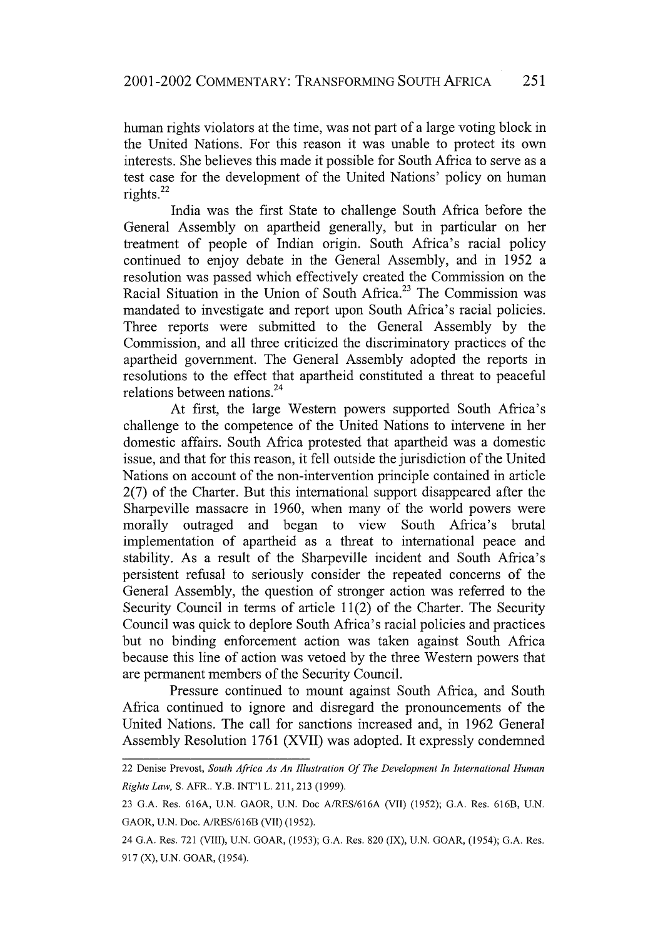human rights violators at the time, was not part of a large voting block in the United Nations. For this reason it was unable to protect its own interests. She believes this made it possible for South Africa to serve as a test case for the development of the United Nations' policy on human rights. $^{22}$ 

India was the first State to challenge South Africa before the General Assembly on apartheid generally, but in particular on her treatment of people of Indian origin. South Africa's racial policy continued to enjoy debate in the General Assembly, and in 1952 a resolution was passed which effectively created the Commission on the Racial Situation in the Union of South Africa.<sup>23</sup> The Commission was mandated to investigate and report upon South Africa's racial policies. Three reports were submitted to the General Assembly by the Commission, and all three criticized the discriminatory practices of the apartheid government. The General Assembly adopted the reports in resolutions to the effect that apartheid constituted a threat to peaceful relations between nations.<sup>24</sup>

At first, the large Western powers supported South Africa's challenge to the competence of the United Nations to intervene in her domestic affairs. South Africa protested that apartheid was a domestic issue, and that for this reason, it fell outside the jurisdiction of the United Nations on account of the non-intervention principle contained in article 2(7) of the Charter. But this international support disappeared after the Sharpeville massacre in 1960, when many of the world powers were morally outraged and began to view South Africa's brutal implementation of apartheid as a threat to international peace and stability. As a result of the Sharpeville incident and South Africa's persistent refusal to seriously consider the repeated concerns of the General Assembly, the question of stronger action was referred to the Security Council in terms of article 11(2) of the Charter. The Security Council was quick to deplore South Africa's racial policies and practices but no binding enforcement action was taken against South Africa because this line of action was vetoed by the three Western powers that are permanent members of the Security Council.

Pressure continued to mount against South Africa, and South Africa continued to ignore and disregard the pronouncements of the United Nations. The call for sanctions increased and, in 1962 General Assembly Resolution 1761 (XVII) was adopted. It expressly condemned

<sup>22</sup> Denise Prevost, *South Africa As An Illustration Of The Development In International Human Rights Law,* **S.** AFR.. Y.B. INT'I L. 211, 213 (1999).

**<sup>23</sup> G.A.** Res. **616A,** U.N. GAOR, **U.N.** Doc **A/RES/616A (VII) (1952); G.A.** Res. **616B,** U.N. GAOR, U.N. Doc. A/RES/616B (VII) (1952).

<sup>24</sup> G.A. Res. **721** (VIII), U.N. GOAR, (1953); G.A. Res. 820 (IX), U.N. GOAR, (1954); G.A. Res. 917 (X), U.N. GOAR, (1954).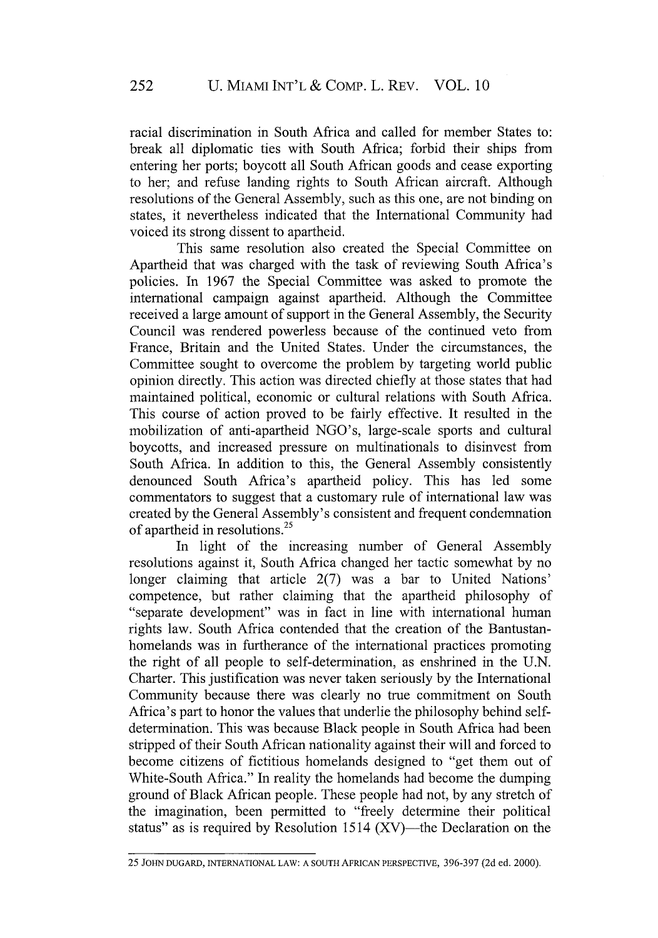racial discrimination in South Africa and called for member States to: break all diplomatic ties with South Africa; forbid their ships from entering her ports; boycott all South African goods and cease exporting to her; and refuse landing rights to South African aircraft. Although resolutions of the General Assembly, such as this one, are not binding on states, it nevertheless indicated that the International Community had voiced its strong dissent to apartheid.

This same resolution also created the Special Committee on Apartheid that was charged with the task of reviewing South Africa's policies. In 1967 the Special Committee was asked to promote the international campaign against apartheid. Although the Committee received a large amount of support in the General Assembly, the Security Council was rendered powerless because of the continued veto from France, Britain and the United States. Under the circumstances, the Committee sought to overcome the problem by targeting world public opinion directly. This action was directed chiefly at those states that had maintained political, economic or cultural relations with South Africa. This course of action proved to be fairly effective. It resulted in the mobilization of anti-apartheid NGO's, large-scale sports and cultural boycotts, and increased pressure on multinationals to disinvest from South Africa. In addition to this, the General Assembly consistently denounced South Africa's apartheid policy. This has led some commentators to suggest that a customary rule of international law was created by the General Assembly's consistent and frequent condemnation of apartheid in resolutions.25

In light of the increasing number of General Assembly resolutions against it, South Africa changed her tactic somewhat by no longer claiming that article 2(7) was a bar to United Nations' competence, but rather claiming that the apartheid philosophy of "separate development" was in fact in line with international human rights law. South Africa contended that the creation of the Bantustanhomelands was in furtherance of the international practices promoting the right of all people to self-determination, as enshrined in the U.N. Charter. This justification was never taken seriously by the International Community because there was clearly no true commitment on South Africa's part to honor the values that underlie the philosophy behind selfdetermination. This was because Black people in South Africa had been stripped of their South African nationality against their will and forced to become citizens of fictitious homelands designed to "get them out of White-South Africa." In reality the homelands had become the dumping ground of Black African people. These people had not, by any stretch of the imagination, been permitted to "freely determine their political status" as is required by Resolution 1514  $(XV)$ —the Declaration on the

<sup>25</sup> **JOHN DUGARD, INTERNATIONAL LAW:** A SOUTH AFRICAN PERSPECTIVE, 396-397 (2d ed. 2000).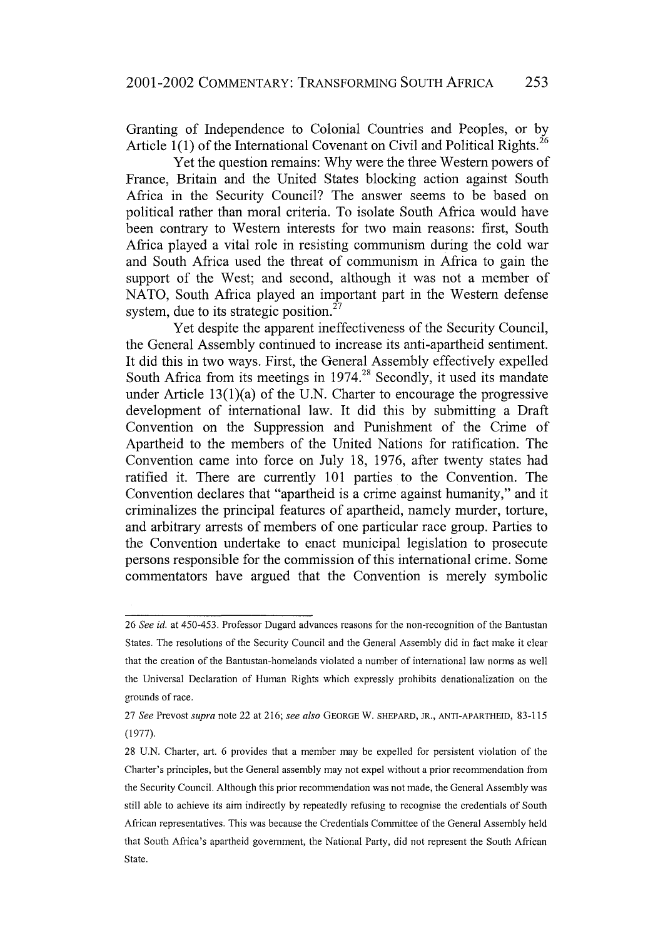Granting of Independence to Colonial Countries and Peoples, or by Article  $1(1)$  of the International Covenant on Civil and Political Rights.<sup>26</sup>

Yet the question remains: Why were the three Western powers of France, Britain and the United States blocking action against South Africa in the Security Council? The answer seems to be based on political rather than moral criteria. To isolate South Africa would have been contrary to Western interests for two main reasons: first, South Africa played a vital role in resisting communism during the cold war and South Africa used the threat of communism in Africa to gain the support of the West; and second, although it was not a member of NATO, South Africa played an important part in the Western defense system, due to its strategic position.<sup>27</sup>

Yet despite the apparent ineffectiveness of the Security Council, the General Assembly continued to increase its anti-apartheid sentiment. It did this in two ways. First, the General Assembly effectively expelled South Africa from its meetings in  $1974<sup>28</sup>$  Secondly, it used its mandate under Article 13(1)(a) of the U.N. Charter to encourage the progressive development of international law. It did this by submitting a Draft Convention on the Suppression and Punishment of the Crime of Apartheid to the members of the United Nations for ratification. The Convention came into force on July 18, 1976, after twenty states had ratified it. There are currently 101 parties to the Convention. The Convention declares that "apartheid is a crime against humanity," and it criminalizes the principal features of apartheid, namely murder, torture, and arbitrary arrests of members of one particular race group. Parties to the Convention undertake to enact municipal legislation to prosecute persons responsible for the commission of this international crime. Some commentators have argued that the Convention is merely symbolic

<sup>26</sup> *See id.* at 450-453. Professor Dugard advances reasons for the non-recognition of the Bantustan States. The resolutions of the Security Council and the General Assembly did in fact make it clear that the creation of the Bantustan-homelands violated a number of international law norms as well the Universal Declaration of Human Rights which expressly prohibits denationalization on the grounds of race.

<sup>27</sup> *See* Prevost *supra* note 22 at 216; *see also* **GEORGE** W. SHEPARD, JR., ANTI-APARTHEID, 83-115 (1977).

<sup>28</sup> U.N. Charter, art. 6 provides that a member may be expelled for persistent violation of the Charter's principles, but the General assembly may not expel without a prior recommendation from the Security Council. Although this prior recommendation was not made, the General Assembly was still able to achieve its aim indirectly by repeatedly refusing to recognise the credentials of South African representatives. This was because the Credentials Committee of the General Assembly held that South Africa's apartheid government, the National Party, did not represent the South African State.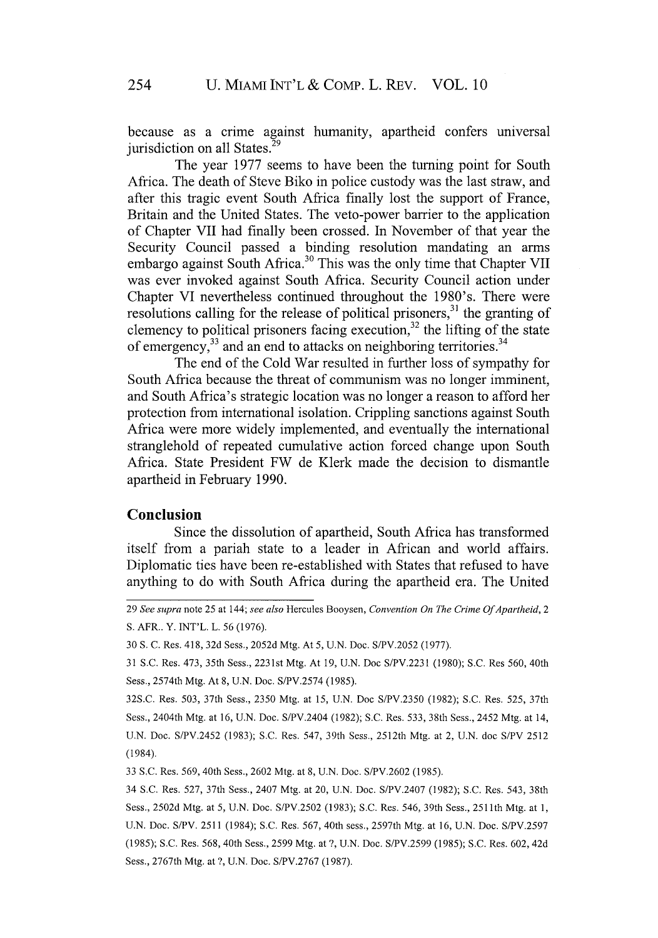because as a crime against humanity, apartheid confers universal jurisdiction on all States.<sup>29</sup>

The year 1977 seems to have been the turning point for South Africa. The death of Steve Biko in police custody was the last straw, and after this tragic event South Africa finally lost the support of France, Britain and the United States. The veto-power barrier to the application of Chapter VII had finally been crossed. In November of that year the Security Council passed a binding resolution mandating an arms embargo against South Africa.<sup>30</sup> This was the only time that Chapter VII was ever invoked against South Africa. Security Council action under Chapter VI nevertheless continued throughout the 1980's. There were resolutions calling for the release of political prisoners,<sup>31</sup> the granting of clemency to political prisoners facing execution,<sup>32</sup> the lifting of the state of emergency, $^{33}$  and an end to attacks on neighboring territories. $^{34}$ 

The end of the Cold War resulted in further loss of sympathy for South Africa because the threat of communism was no longer imminent, and South Africa's strategic location was no longer a reason to afford her protection from international isolation. Crippling sanctions against South Africa were more widely implemented, and eventually the international stranglehold of repeated cumulative action forced change upon South Africa. State President FW de Klerk made the decision to dismantle apartheid in February 1990.

# **Conclusion**

Since the dissolution of apartheid, South Africa has transformed itself from a pariah state to a leader in African and world affairs. Diplomatic ties have been re-established with States that refused to have anything to do with South Africa during the apartheid era. The United

29 *See supra* note 25 at 144; *see also* Hercules Booysen, *Convention On The Crime Of Apartheid, 2* S. AFR.. Y. INT'L. L. 56 (1976).

33 S.C. Res. 569, 40th Sess., 2602 Mtg. at 8, U.N. Doe. S/PV.2602 (1985).

34 S.C. Res. 527, 37th Sess., 2407 Mtg. at 20, U.N. Doc. S/PV.2407 (1982); S.C. Res. 543, 38th Sess., 2502d Mtg. at *5,* U.N. Doc. S/PV.2502 (1983); S.C. Res. 546, 39th Sess., 251 lth Mtg. at 1, U.N. Doc. S/PV. 2511 (1984); S.C. Res. 567, 40th sess., 2597th Mtg. at 16, U.N. Doe. S/PV.2597 (1985); S.C. Res. 568, 40th Sess., 2599 Mtg. at ?, U.N. Doe. S/PV.2599 (1985); S.C. Res. 602, 42d Sess., 2767th Mtg. at ?, U.N. Doe. S/PV.2767 (1987).

<sup>30</sup> S. C. Res. 418, 32d Sess., 2052d Mtg. At 5, U.N. Doc. S/PV.2052 (1977).

<sup>31</sup> S.C. Res. 473, 35th Sess., 2231st Mtg. At **19,** U.N. Doc S/PV.2231 (1980); S.C. Res 560, 40th Sess., 2574th Mtg. At 8, U.N. Doc. S/PV.2574 (1985).

<sup>32</sup>S.C. Res. 503, 37th Sess., 2350 Mtg. at 15, U.N. Doc S/PV.2350 (1982); S.C. Res. 525, 37th Sess., 2404th Mtg. at 16, U.N. Doe. S/PV.2404 (1982); S.C. Res. 533, 38th Sess., 2452 Mtg. at 14, U.N. Doe. S/PV.2452 (1983); S.C. Res. 547, 39th Sess., 2512th Mtg. at 2, U.N. doc S/PV 2512 (1984).